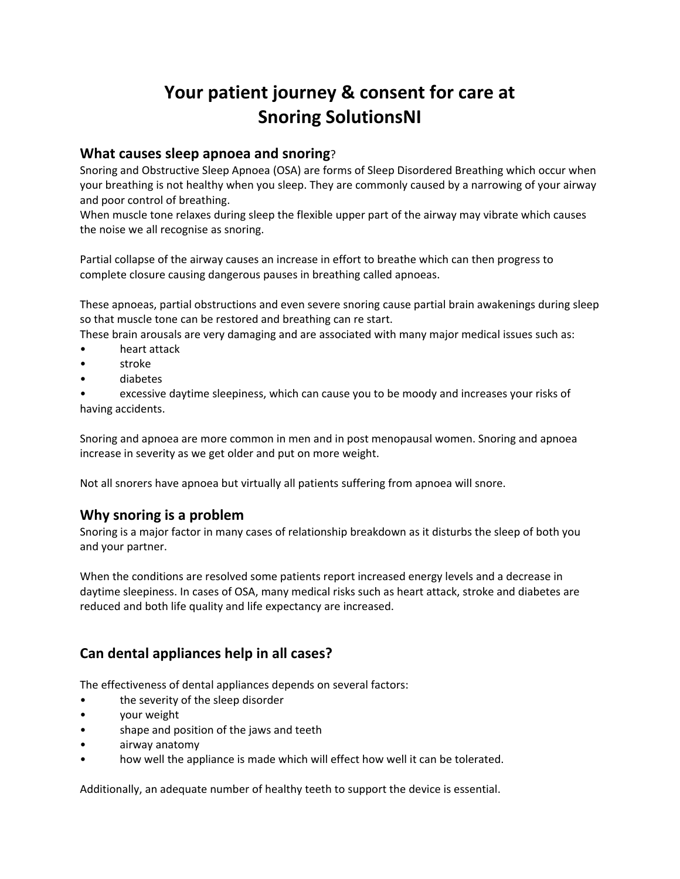# **Your patient journey & consent for care at Snoring SolutionsNI**

#### **What causes sleep apnoea and snoring**?

Snoring and Obstructive Sleep Apnoea (OSA) are forms of Sleep Disordered Breathing which occur when your breathing is not healthy when you sleep. They are commonly caused by a narrowing of your airway and poor control of breathing.

When muscle tone relaxes during sleep the flexible upper part of the airway may vibrate which causes the noise we all recognise as snoring.

Partial collapse of the airway causes an increase in effort to breathe which can then progress to complete closure causing dangerous pauses in breathing called apnoeas.

These apnoeas, partial obstructions and even severe snoring cause partial brain awakenings during sleep so that muscle tone can be restored and breathing can re start.

These brain arousals are very damaging and are associated with many major medical issues such as:

- heart attack
- stroke
- diabetes

• excessive daytime sleepiness, which can cause you to be moody and increases your risks of having accidents.

Snoring and apnoea are more common in men and in post menopausal women. Snoring and apnoea increase in severity as we get older and put on more weight.

Not all snorers have apnoea but virtually all patients suffering from apnoea will snore.

## **Why snoring is a problem**

Snoring is a major factor in many cases of relationship breakdown as it disturbs the sleep of both you and your partner.

When the conditions are resolved some patients report increased energy levels and a decrease in daytime sleepiness. In cases of OSA, many medical risks such as heart attack, stroke and diabetes are reduced and both life quality and life expectancy are increased.

## **Can dental appliances help in all cases?**

The effectiveness of dental appliances depends on several factors:

- the severity of the sleep disorder
- your weight
- shape and position of the jaws and teeth
- airway anatomy
- how well the appliance is made which will effect how well it can be tolerated.

Additionally, an adequate number of healthy teeth to support the device is essential.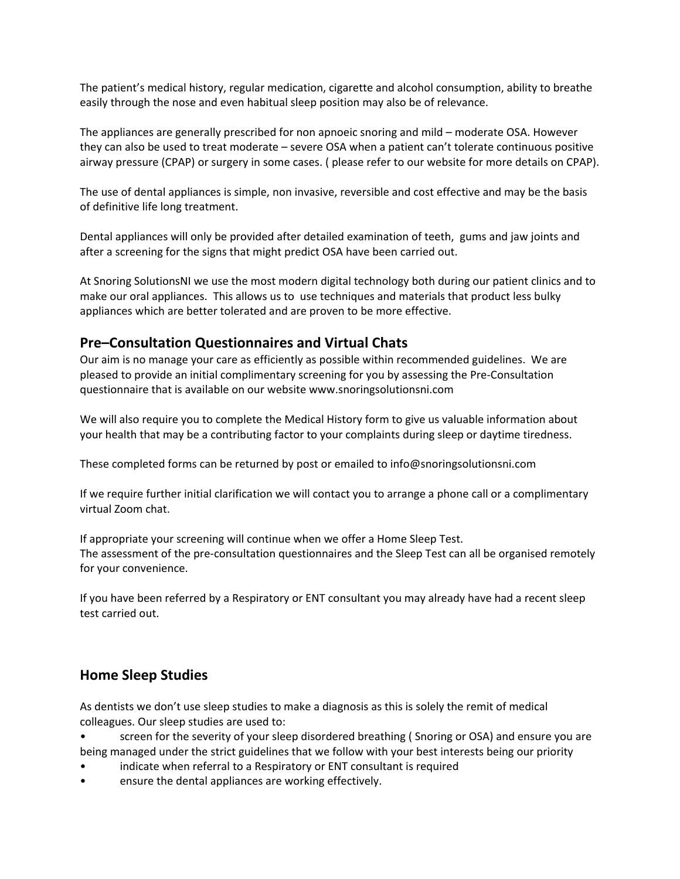The patient's medical history, regular medication, cigarette and alcohol consumption, ability to breathe easily through the nose and even habitual sleep position may also be of relevance.

The appliances are generally prescribed for non apnoeic snoring and mild – moderate OSA. However they can also be used to treat moderate – severe OSA when a patient can't tolerate continuous positive airway pressure (CPAP) or surgery in some cases. ( please refer to our website for more details on CPAP).

The use of dental appliances is simple, non invasive, reversible and cost effective and may be the basis of definitive life long treatment.

Dental appliances will only be provided after detailed examination of teeth, gums and jaw joints and after a screening for the signs that might predict OSA have been carried out.

At Snoring SolutionsNI we use the most modern digital technology both during our patient clinics and to make our oral appliances. This allows us to use techniques and materials that product less bulky appliances which are better tolerated and are proven to be more effective.

### **Pre–Consultation Questionnaires and Virtual Chats**

Our aim is no manage your care as efficiently as possible within recommended guidelines. We are pleased to provide an initial complimentary screening for you by assessing the Pre-Consultation questionnaire that is available on our website www.snoringsolutionsni.com

We will also require you to complete the Medical History form to give us valuable information about your health that may be a contributing factor to your complaints during sleep or daytime tiredness.

These completed forms can be returned by post or emailed to info@snoringsolutionsni.com

If we require further initial clarification we will contact you to arrange a phone call or a complimentary virtual Zoom chat.

If appropriate your screening will continue when we offer a Home Sleep Test. The assessment of the pre-consultation questionnaires and the Sleep Test can all be organised remotely for your convenience.

If you have been referred by a Respiratory or ENT consultant you may already have had a recent sleep test carried out.

## **Home Sleep Studies**

As dentists we don't use sleep studies to make a diagnosis as this is solely the remit of medical colleagues. Our sleep studies are used to:

- screen for the severity of your sleep disordered breathing ( Snoring or OSA) and ensure you are being managed under the strict guidelines that we follow with your best interests being our priority
- indicate when referral to a Respiratory or ENT consultant is required
- ensure the dental appliances are working effectively.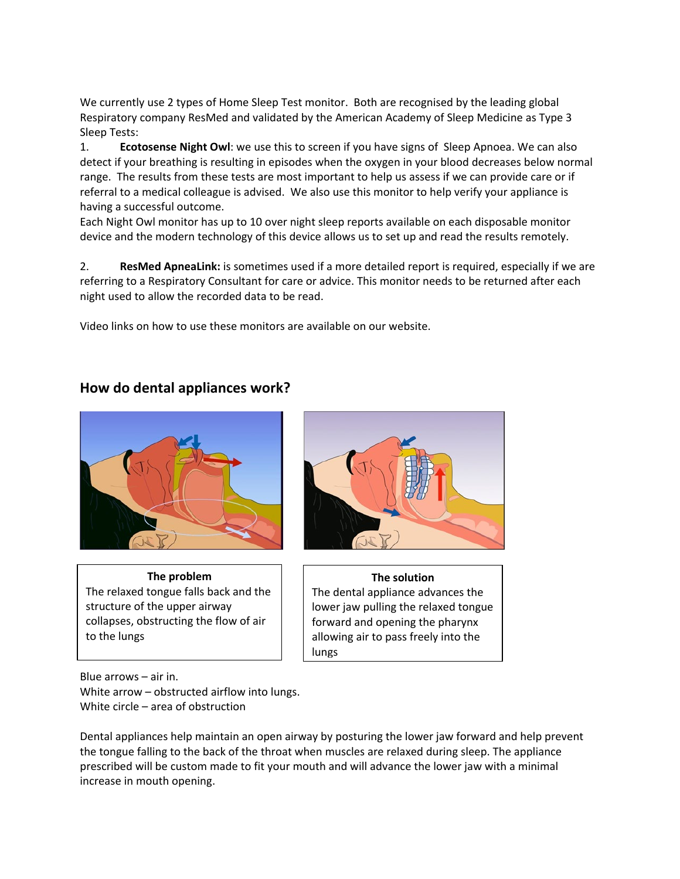We currently use 2 types of Home Sleep Test monitor. Both are recognised by the leading global Respiratory company ResMed and validated by the American Academy of Sleep Medicine as Type 3 Sleep Tests:

1. **Ecotosense Night Owl**: we use this to screen if you have signs of Sleep Apnoea. We can also detect if your breathing is resulting in episodes when the oxygen in your blood decreases below normal range. The results from these tests are most important to help us assess if we can provide care or if referral to a medical colleague is advised. We also use this monitor to help verify your appliance is having a successful outcome.

Each Night Owl monitor has up to 10 over night sleep reports available on each disposable monitor device and the modern technology of this device allows us to set up and read the results remotely.

2. **ResMed ApneaLink:** is sometimes used if a more detailed report is required, especially if we are referring to a Respiratory Consultant for care or advice. This monitor needs to be returned after each night used to allow the recorded data to be read.

Video links on how to use these monitors are available on our website.

### **How do dental appliances work?**



**The problem** The relaxed tongue falls back and the structure of the upper airway collapses, obstructing the flow of air to the lungs



#### **The solution** The dental appliance advances the lower jaw pulling the relaxed tongue forward and opening the pharynx allowing air to pass freely into the lungs

Blue arrows – air in. White arrow – obstructed airflow into lungs. White circle – area of obstruction

Dental appliances help maintain an open airway by posturing the lower jaw forward and help prevent the tongue falling to the back of the throat when muscles are relaxed during sleep. The appliance prescribed will be custom made to fit your mouth and will advance the lower jaw with a minimal increase in mouth opening.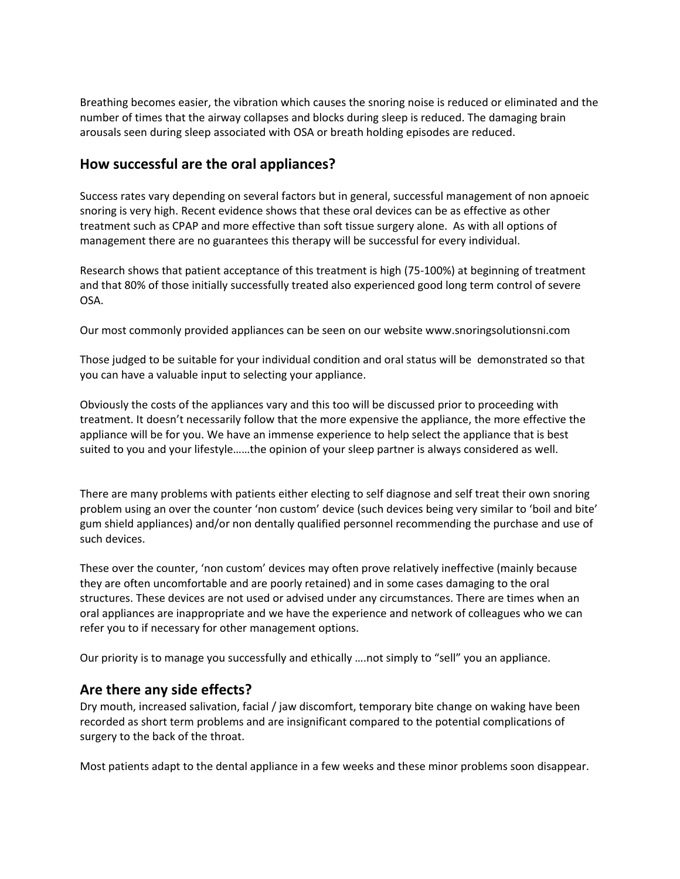Breathing becomes easier, the vibration which causes the snoring noise is reduced or eliminated and the number of times that the airway collapses and blocks during sleep is reduced. The damaging brain arousals seen during sleep associated with OSA or breath holding episodes are reduced.

## **How successful are the oral appliances?**

Success rates vary depending on several factors but in general, successful management of non apnoeic snoring is very high. Recent evidence shows that these oral devices can be as effective as other treatment such as CPAP and more effective than soft tissue surgery alone. As with all options of management there are no guarantees this therapy will be successful for every individual.

Research shows that patient acceptance of this treatment is high (75-100%) at beginning of treatment and that 80% of those initially successfully treated also experienced good long term control of severe OSA.

Our most commonly provided appliances can be seen on our website www.snoringsolutionsni.com

Those judged to be suitable for your individual condition and oral status will be demonstrated so that you can have a valuable input to selecting your appliance.

Obviously the costs of the appliances vary and this too will be discussed prior to proceeding with treatment. It doesn't necessarily follow that the more expensive the appliance, the more effective the appliance will be for you. We have an immense experience to help select the appliance that is best suited to you and your lifestyle……the opinion of your sleep partner is always considered as well.

There are many problems with patients either electing to self diagnose and self treat their own snoring problem using an over the counter 'non custom' device (such devices being very similar to 'boil and bite' gum shield appliances) and/or non dentally qualified personnel recommending the purchase and use of such devices.

These over the counter, 'non custom' devices may often prove relatively ineffective (mainly because they are often uncomfortable and are poorly retained) and in some cases damaging to the oral structures. These devices are not used or advised under any circumstances. There are times when an oral appliances are inappropriate and we have the experience and network of colleagues who we can refer you to if necessary for other management options.

Our priority is to manage you successfully and ethically ….not simply to "sell" you an appliance.

#### **Are there any side effects?**

Dry mouth, increased salivation, facial / jaw discomfort, temporary bite change on waking have been recorded as short term problems and are insignificant compared to the potential complications of surgery to the back of the throat.

Most patients adapt to the dental appliance in a few weeks and these minor problems soon disappear.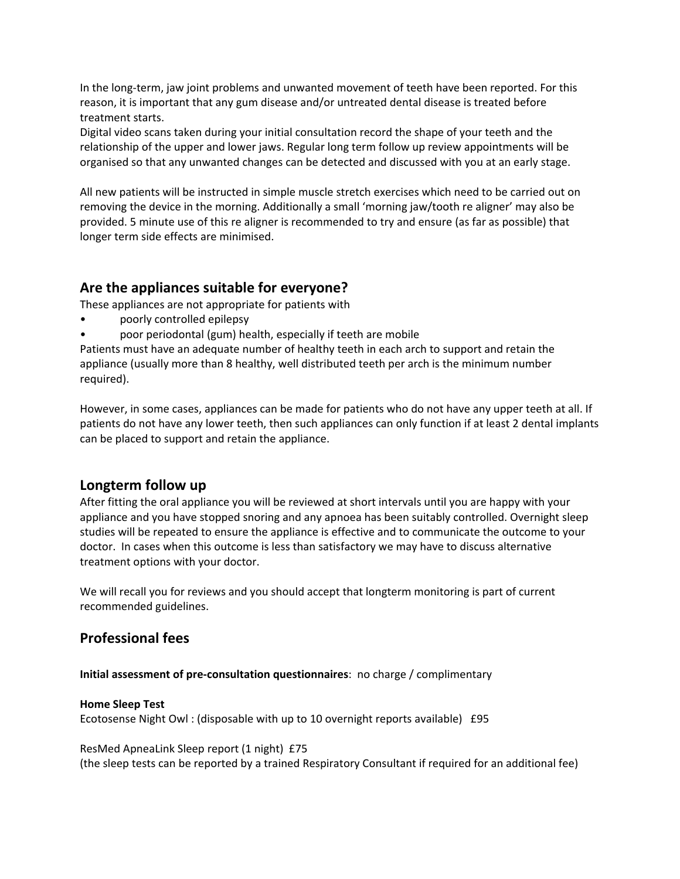In the long-term, jaw joint problems and unwanted movement of teeth have been reported. For this reason, it is important that any gum disease and/or untreated dental disease is treated before treatment starts.

Digital video scans taken during your initial consultation record the shape of your teeth and the relationship of the upper and lower jaws. Regular long term follow up review appointments will be organised so that any unwanted changes can be detected and discussed with you at an early stage.

All new patients will be instructed in simple muscle stretch exercises which need to be carried out on removing the device in the morning. Additionally a small 'morning jaw/tooth re aligner' may also be provided. 5 minute use of this re aligner is recommended to try and ensure (as far as possible) that longer term side effects are minimised.

## **Are the appliances suitable for everyone?**

These appliances are not appropriate for patients with

- poorly controlled epilepsy
- poor periodontal (gum) health, especially if teeth are mobile

Patients must have an adequate number of healthy teeth in each arch to support and retain the appliance (usually more than 8 healthy, well distributed teeth per arch is the minimum number required).

However, in some cases, appliances can be made for patients who do not have any upper teeth at all. If patients do not have any lower teeth, then such appliances can only function if at least 2 dental implants can be placed to support and retain the appliance.

#### **Longterm follow up**

After fitting the oral appliance you will be reviewed at short intervals until you are happy with your appliance and you have stopped snoring and any apnoea has been suitably controlled. Overnight sleep studies will be repeated to ensure the appliance is effective and to communicate the outcome to your doctor. In cases when this outcome is less than satisfactory we may have to discuss alternative treatment options with your doctor.

We will recall you for reviews and you should accept that longterm monitoring is part of current recommended guidelines.

## **Professional fees**

**Initial assessment of pre-consultation questionnaires**: no charge / complimentary

#### **Home Sleep Test**

Ecotosense Night Owl : (disposable with up to 10 overnight reports available) £95

ResMed ApneaLink Sleep report (1 night) £75 (the sleep tests can be reported by a trained Respiratory Consultant if required for an additional fee)